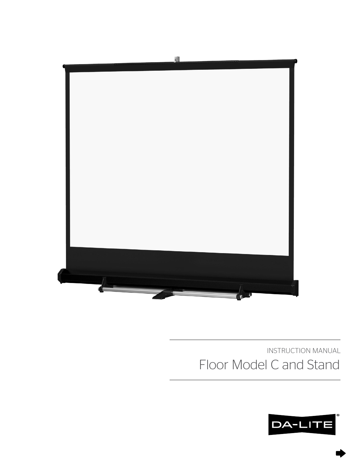

# INSTRUCTION MANUAL Floor Model C and Stand

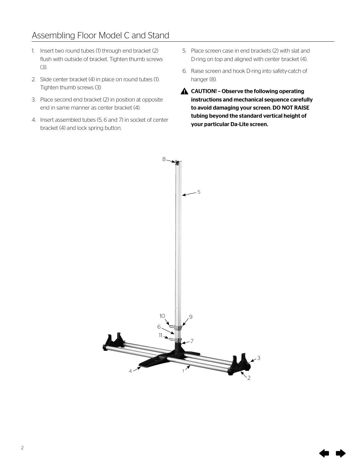## Assembling Floor Model C and Stand

- 1. Insert two round tubes (1) through end bracket (2) flush with outside of bracket. Tighten thumb screws (3).
- 2. Slide center bracket (4) in place on round tubes (1). Tighten thumb screws (3).
- 3. Place second end bracket (2) in position at opposite end in same manner as center bracket (4).
- 4. Insert assembled tubes (5, 6 and 7) in socket of center bracket (4) and lock spring button.
- 5. Place screen case in end brackets (2) with slat and D-ring on top and aligned with center bracket (4).
- 6. Raise screen and hook D-ring into safety-catch of hanger (8).
- $\triangle$  CAUTION! Observe the following operating instructions and mechanical sequence carefully to avoid damaging your screen. DO NOT RAISE tubing beyond the standard vertical height of your particular Da-Lite screen.

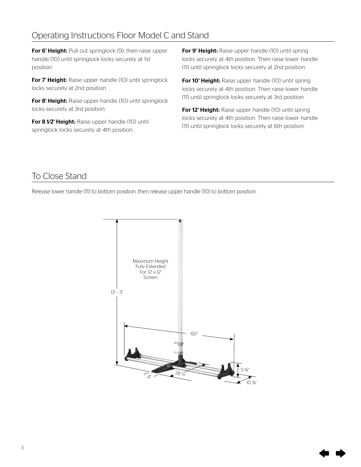# Operating Instructions Floor Model C and Stand

For 6' Height: Pull out springlock (9), then raise upper handle (10) until springlock locks securely at 1st position.

For 7' Height: Raise upper handle (10) until springlock locks securely at 2nd position.

For 8' Height: Raise upper handle (10) until springlock locks securely at 3rd position.

For 8 1⁄2' Height: Raise upper handle (10) until springlock locks securely at 4th position.

For 9' Height: Raise upper handle (10) until spring locks securely at 4th position. Then raise lower handle (11) until springlock locks securely at 2nd position.

For 10' Height: Raise upper handle (10) until spring locks securely at 4th position. Then raise lower handle (11) until springlock locks securely at 3rd position.

For 12' Height: Raise upper handle (10) until spring locks securely at 4th position. Then raise lower handle (11) until springlock locks securely at 6th position.

### To Close Stand

Release lower handle (11) to bottom position, then release upper handle (10) to bottom position.